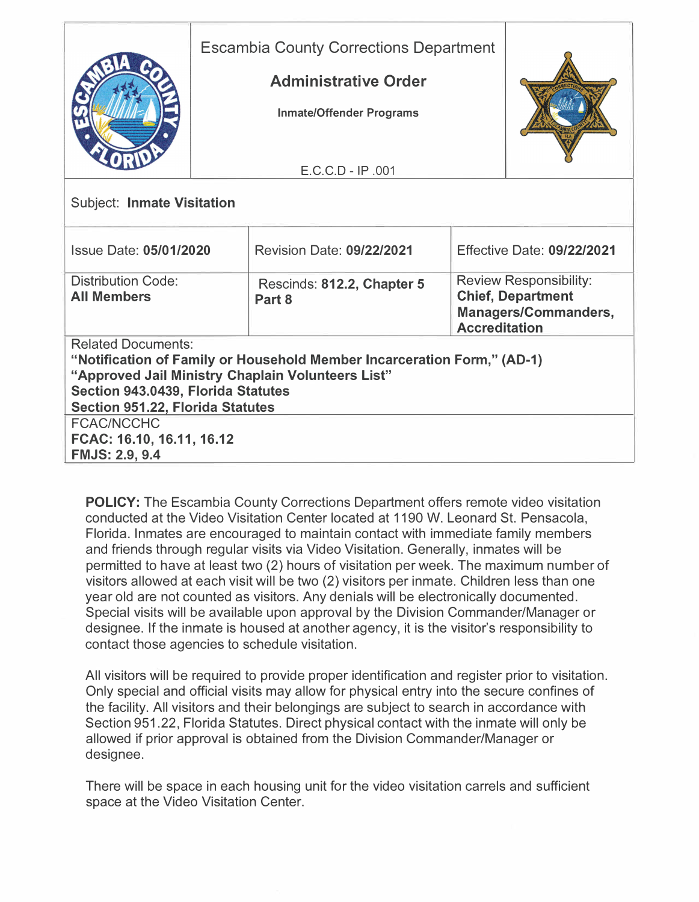|                                                                                                                                                                                                                                            | <b>Escambia County Corrections Department</b><br><b>Administrative Order</b><br><b>Inmate/Offender Programs</b> |                                      |  |                                                                                                                  |  |
|--------------------------------------------------------------------------------------------------------------------------------------------------------------------------------------------------------------------------------------------|-----------------------------------------------------------------------------------------------------------------|--------------------------------------|--|------------------------------------------------------------------------------------------------------------------|--|
|                                                                                                                                                                                                                                            |                                                                                                                 | $E.C.C.D - IP .001$                  |  |                                                                                                                  |  |
| <b>Subject: Inmate Visitation</b>                                                                                                                                                                                                          |                                                                                                                 |                                      |  |                                                                                                                  |  |
| <b>Issue Date: 05/01/2020</b>                                                                                                                                                                                                              |                                                                                                                 | <b>Revision Date: 09/22/2021</b>     |  | <b>Effective Date: 09/22/2021</b>                                                                                |  |
| <b>Distribution Code:</b><br><b>All Members</b>                                                                                                                                                                                            |                                                                                                                 | Rescinds: 812.2, Chapter 5<br>Part 8 |  | <b>Review Responsibility:</b><br><b>Chief, Department</b><br><b>Managers/Commanders,</b><br><b>Accreditation</b> |  |
| <b>Related Documents:</b><br>"Notification of Family or Household Member Incarceration Form," (AD-1)<br>"Approved Jail Ministry Chaplain Volunteers List"<br>Section 943.0439, Florida Statutes<br><b>Section 951.22, Florida Statutes</b> |                                                                                                                 |                                      |  |                                                                                                                  |  |
| <b>FCAC/NCCHC</b><br>FCAC: 16.10, 16.11, 16.12<br><b>FMJS: 2.9, 9.4</b>                                                                                                                                                                    |                                                                                                                 |                                      |  |                                                                                                                  |  |

**POLICY:** The Escambia County Corrections Department offers remote video visitation conducted at the Video Visitation Center located at 1190 W. Leonard St. Pensacola, Florida. Inmates are encouraged to maintain contact with immediate family members and friends through regular visits via Video Visitation. Generally, inmates will be permitted to have at least two (2) hours of visitation per week. The maximum number of visitors allowed at each visit will be two (2) visitors per inmate. Children less than one year old are not counted as visitors. Any denials will be electronically documented. Special visits will be available upon approval by the Division Commander/Manager or designee. If the inmate is housed at another agency, it is the visitor's responsibility to contact those agencies to schedule visitation.

All visitors will be required to provide proper identification and register prior to visitation. Only special and official visits may allow for physical entry into the secure confines of the facility. All visitors and their belongings are subject to search in accordance with Section 951.22, Florida Statutes. Direct physical contact with the inmate will only be allowed if prior approval is obtained from the Division Commander/Manager or designee.

There will be space in each housing unit for the video visitation carrels and sufficient space at the Video Visitation Center.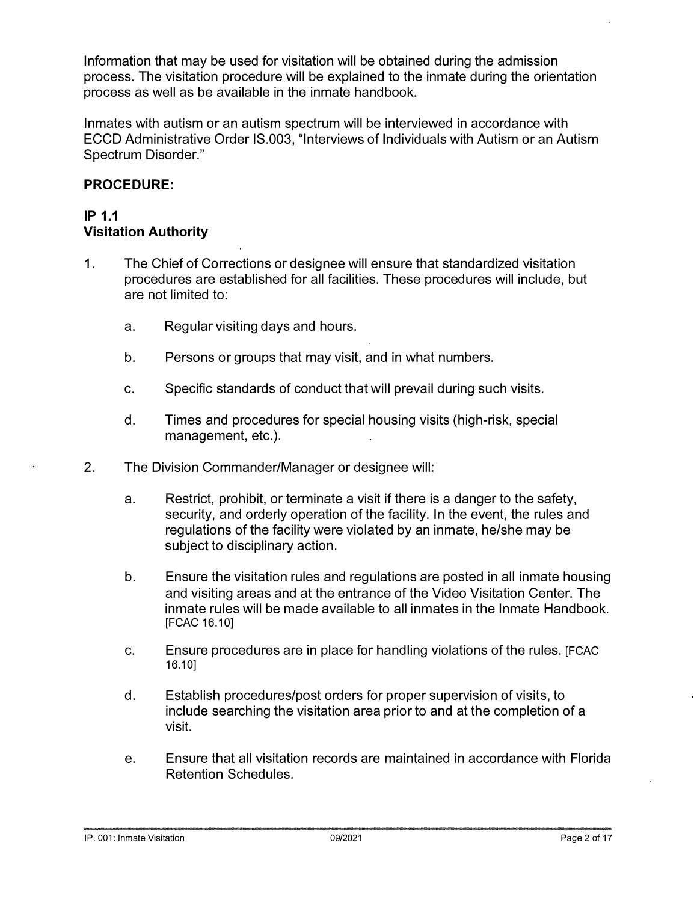**Information that may be used for visitation will be obtained during the admission process. The visitation procedure will be explained to the inmate during the orientation process as well as be available in the inmate handbook.** 

**Inmates with autism or an autism spectrum will be interviewed in accordance with ECCD Administrative Order IS.003, "Interviews of Individuals with Autism or an Autism Spectrum Disorder."** 

## **PROCEDURE:**

#### **IP 1.1 Visitation Authority**

- **1. The Chief of Corrections or designee will ensure that standardized visitation procedures are established for all facilities. These procedures will include, but are not limited to:** 
	- **a. Regular visiting days and hours.**
	- **b. Persons or groups that may visit, and in what numbers.**
	- **c. Specific standards of conduct that will prevail during such visits.**
	- **d. Times and procedures for special housing visits (high-risk, special management, etc.).**
- **2. The Division Commander/Manager or designee will:** 
	- **a. Restrict, prohibit, or terminate a visit if there is a danger to the safety, security, and orderly operation of the facility. In the event, the rules and regulations of the facility were violated by an inmate, he/she may be subject to disciplinary action.**
	- **b. Ensure the visitation rules and regulations are posted in all inmate housing and visiting areas and at the entrance of the Video Visitation Center. The inmate rules will be made available to all inmates in the Inmate Handbook. [FCAC 16.1 O]**
	- **c. Ensure procedures are in place for handling violations of the rules. [FCAC 16.10]**
	- **d. Establish procedures/post orders for proper supervision of visits, to include searching the visitation area prior to and at the completion of a visit.**
	- **e. Ensure that all visitation records are maintained in accordance with Florida Retention Schedules.**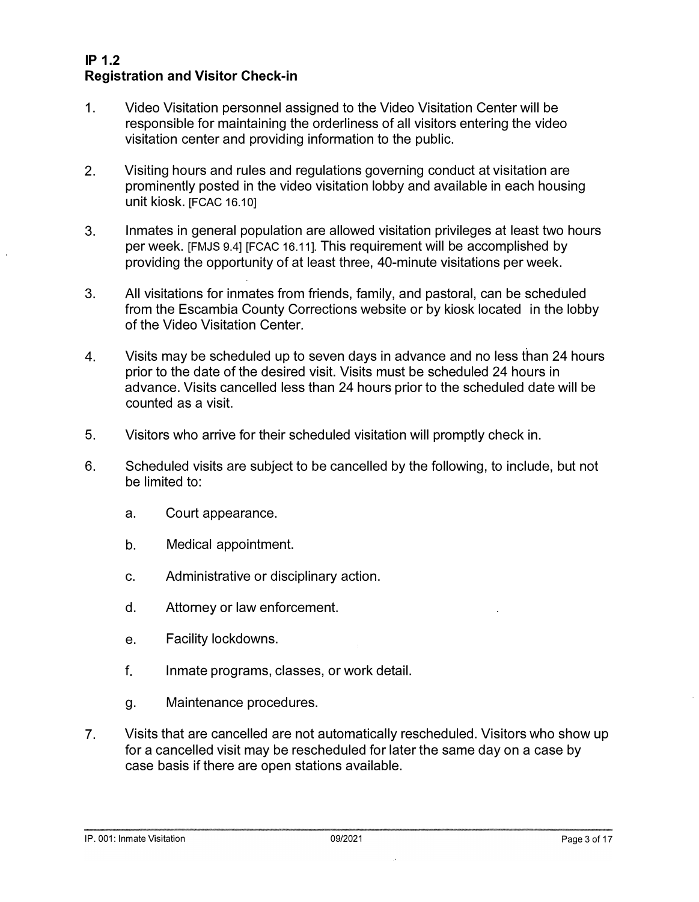## **IP 1.2 Registration and Visitor Check-in**

- **1. Video Visitation personnel assigned to the Video Visitation Center will be responsible for maintaining the orderliness of all visitors entering the video visitation center and providing information to the public.**
- **2. Visiting hours and rules and regulations governing conduct at visitation are prominently posted in the video visitation lobby and available in each housing unit kiosk. [FCAC 16.1 O]**
- **3. Inmates in general population are allowed visitation privileges at least two hours per week. [FMJS 9.4] [FCAC 16.11]. This requirement will be accomplished by providing the opportunity of at least three, 40-minute visitations per week.**
- **3. All visitations for inmates from friends, family, and pastoral, can be scheduled from the Escambia County Corrections website or by kiosk located in the lobby of the Video Visitation Center.**
- **4. Visits may be scheduled up to seven days in advance and no less than 24 hours prior to the date of the desired visit. Visits must be scheduled 24 hours in advance. Visits cancelled less than 24 hours prior to the scheduled date will be counted as a visit.**
- **5. Visitors who arrive for their scheduled visitation will promptly check in.**
- **6. Scheduled visits are subject to be cancelled by the following, to include, but not be limited to:** 
	- **a. Court appearance.**
	- **b. Medical appointment.**
	- **c. Administrative or disciplinary action.**
	- **d. Attorney or law enforcement.**
	- **e. Facility lockdowns.**
	- **f. Inmate programs, classes, or work detail.**
	- **g. Maintenance procedures.**
- **7. Visits that are cancelled are not automatically rescheduled. Visitors who show up for a cancelled visit may be rescheduled for later the same day on a case by case basis if there are open stations available.**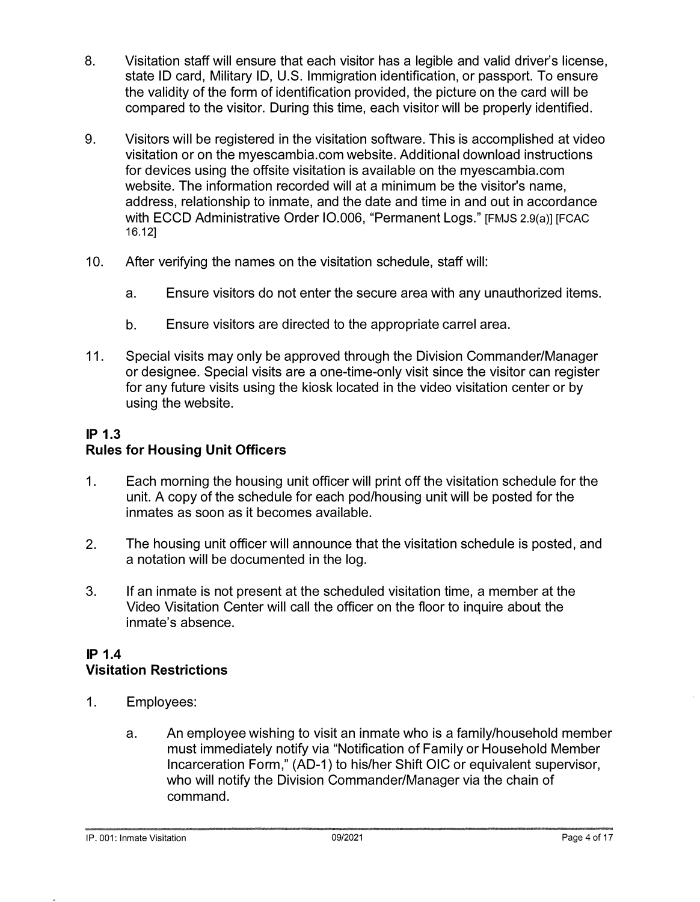- **8. Visitation staff will ensure that each visitor has a legible and valid driver's license, state ID card, Military ID, U.S. Immigration identification, or passport. To ensure the validity of the form of identification provided, the picture on the card will be compared to the visitor. During this time, each visitor will be properly identified.**
- **9. Visitors will be registered in the visitation software. This is accomplished at video visitation or on the myescambia.com website. Additional download instructions for devices using the offsite visitation is available on the myescambia.com website. The information recorded will at a minimum be the visitor's name, address, relationship to inmate, and the date and time in and out in accordance with ECCD Administrative Order 10.006, "Permanent Logs." [FMJS 2.9(a)] [FCAC 16.12]**
- **10. After verifying the names on the visitation schedule, staff will:** 
	- **a. Ensure visitors do not enter the secure area with any unauthorized items.**
	- **b. Ensure visitors are directed to the appropriate carrel area.**
- **11. Special visits may only be approved through the Division Commander/Manager or designee. Special visits are a one-time-only visit since the visitor can register for any future visits using the kiosk located in the video visitation center or by using the website.**

## **IP 1.3 Rules for Housing Unit Officers**

- **1. Each morning the housing unit officer will print off the visitation schedule for the unit. A copy of the schedule for each pod/housing unit will be posted for the inmates as soon as it becomes available.**
- **2. The housing unit officer will announce that the visitation schedule is posted, and a notation will be documented in the log.**
- **3. If an inmate is not present at the scheduled visitation time, a member at the Video Visitation Center will call the officer on the floor to inquire about the inmate's absence.**

## **IP 1.4 Visitation Restrictions**

- **1. Employees:** 
	- **a. An employee wishing to visit an inmate who is a family/household member must immediately notify via "Notification of Family or Household Member Incarceration Form," (AD-1) to his/her Shift OIC or equivalent supervisor, who will notify the Division Commander/Manager via the chain of command.**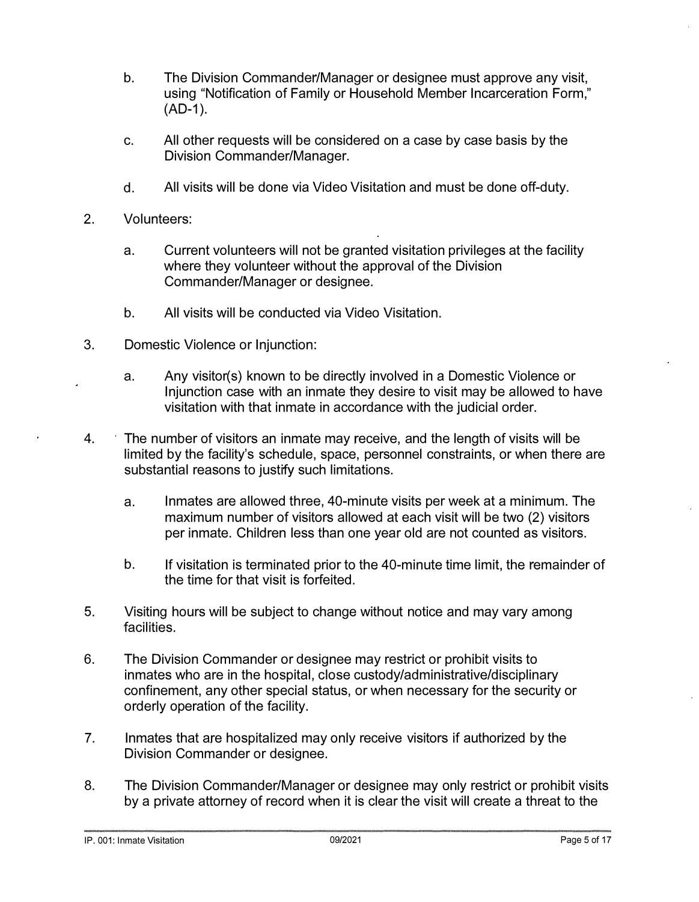- **b. The Division Commander/Manager or designee must approve any visit, using "Notification of Family or Household Member Incarceration Form," (AD-1 ).**
- **c. All other requests will be considered on a case by case basis by the Division Commander/Manager.**
- **d. All visits will be done via Video Visitation and must be done off-duty.**
- **2. Volunteers:** 
	- **a. Current volunteers will not be granted visitation privileges at the facility where they volunteer without the approval of the Division Commander/Manager or designee.**
	- **b. All visits will be conducted via Video Visitation.**
- **3. Domestic Violence or Injunction:** 
	- **a. Any visitor(s) known to be directly involved in a Domestic Violence or Injunction case with an inmate they desire to visit may be allowed to have visitation with that inmate in accordance with the judicial order.**
- **4. The number of visitors an inmate may receive, and the length of visits will be limited by the facility's schedule, space, personnel constraints, or when there are substantial reasons to justify such limitations.** 
	- **a. Inmates are allowed three, 40-minute visits per week at a minimum. The maximum number of visitors allowed at each visit will be two (2) visitors per inmate. Children less than one year old are not counted as visitors.**
	- **b. If visitation is terminated prior to the 40-minute time limit, the remainder of the time for that visit is forfeited.**
- **5. Visiting hours will be subject to change without notice and may vary among facilities.**
- **6. The Division Commander or designee may restrict or prohibit visits to inmates who are in the hospital, close custody/administrative/disciplinary confinement, any other special status, or when necessary for the security or orderly operation of the facility.**
- **7. Inmates that are hospitalized may only receive visitors if authorized by the Division Commander or designee.**
- **8. The Division Commander/Manager or designee may only restrict or prohibit visits by a private attorney of record when it is clear the visit will create a threat to the**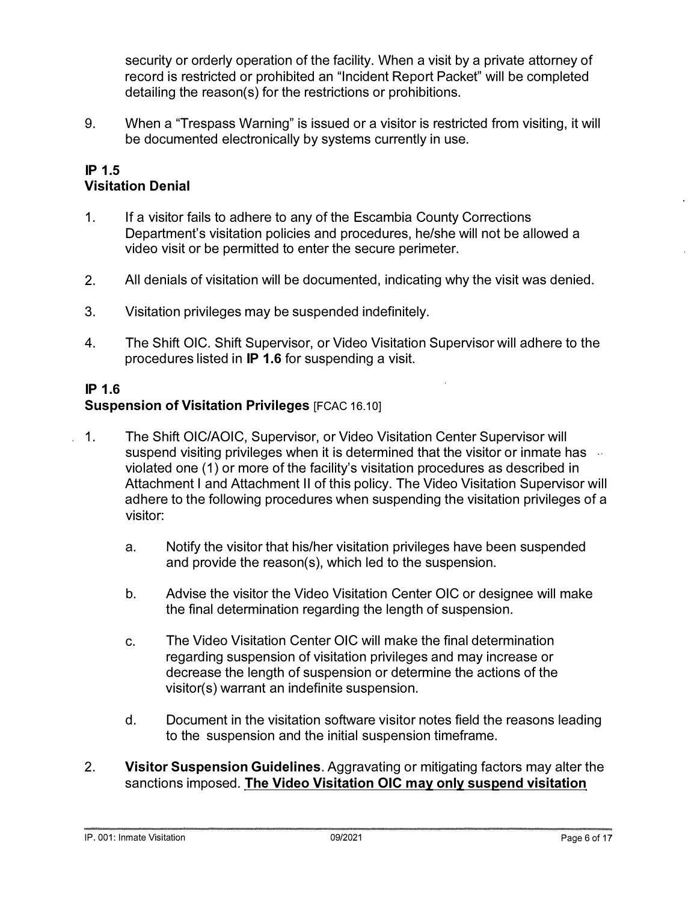security or orderly operation of the facility. When a visit by a private attorney of record is restricted or prohibited an "Incident Report Packet" will be completed detailing the reason(s) for the restrictions or prohibitions.

9. When a "Trespass Warning" is issued or a visitor is restricted from visiting, it will be documented electronically by systems currently in use.

#### **IP 1.5 Visitation Denial**

- 1. If a visitor fails to adhere to any of the Escambia County Corrections Department's visitation policies and procedures, he/she will not be allowed a video visit or be permitted to enter the secure perimeter.
- 2. All denials of visitation will be documented, indicating why the visit was denied.
- 3. Visitation privileges may be suspended indefinitely.
- 4. The Shift OIC. Shift Supervisor, or Video Visitation Supervisor will adhere to the procedures listed in **IP** 1.6 for suspending a visit.

### **IP** 1.6 **Suspension of Visitation Privileges [FCAC 16.10]**

- 1. The Shift OIC/AOIC, Supervisor, or Video Visitation Center Supervisor will suspend visiting privileges when it is determined that the visitor or inmate has  $\sim$ violated one (1) or more of the facility's visitation procedures as described in Attachment I and Attachment II of this policy. The Video Visitation Supervisor will adhere to the following procedures when suspending the visitation privileges of a visitor:
	- a. Notify the visitor that his/her visitation privileges have been suspended and provide the reason(s), which led to the suspension.
	- b. Advise the visitor the Video Visitation Center OIC or designee will make the final determination regarding the length of suspension.
	- c. The Video Visitation Center OIC will make the final determination regarding suspension of visitation privileges and may increase or decrease the length of suspension or determine the actions of the visitor(s) warrant an indefinite suspension.
	- d. Document in the visitation software visitor notes field the reasons leading to the suspension and the initial suspension timeframe.
- 2. **Visitor Suspension Guidelines.** Aggravating or mitigating factors may alter the sanctions imposed. **The Video Visitation CIC may only suspend visitation**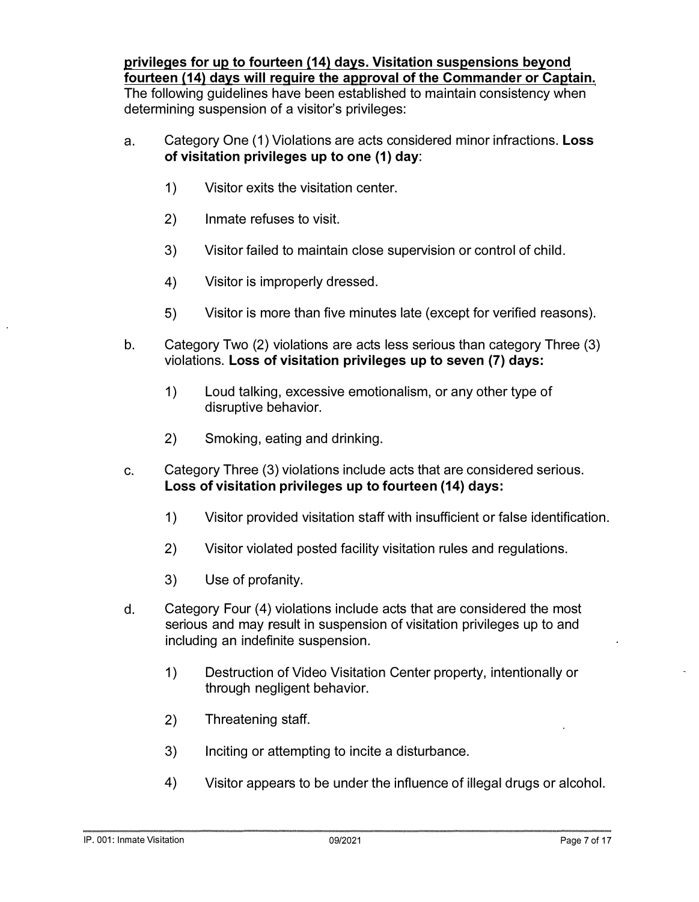**privileges for up to fourteen {14) days. Visitation suspensions beyond** 

**fourteen {14) days will require the approval of the Commander or Captain. The following guidelines have been established to maintain consistency when determining suspension of a visitor's privileges:** 

- **a. Category One (1) Violations are acts considered minor infractions. Loss of visitation privileges up to one (1) day:** 
	- **1) Visitor exits the visitation center.**
	- **2) Inmate refuses to visit.**
	- **3) Visitor failed to maintain close supervision or control of child.**
	- **4) Visitor is improperly dressed.**
	- **5) Visitor is more than five minutes late (except for verified reasons).**
- **b. Category Two (2) violations are acts less serious than category Three (3) violations. Loss of visitation privileges up to seven (7) days:** 
	- **1) Loud talking, excessive emotionalism, or any other type of disruptive behavior.**
	- **2) Smoking, eating and drinking.**
- **c. Category Three (3) violations include acts that are considered serious. Loss of visitation privileges up to fourteen (14) days:** 
	- **1) Visitor provided visitation staff with insufficient or false identification.**
	- **2) Visitor violated posted facility visitation rules and regulations.**
	- **3) Use of profanity.**
- **d. Category Four (4) violations include acts that are considered the most serious and may result in suspension of visitation privileges up to and including an indefinite suspension.** 
	- **1) Destruction of Video Visitation Center property, intentionally or through negligent behavior.**
	- **2) Threatening staff.**
	- **3) Inciting or attempting to incite a disturbance.**
	- **4) Visitor appears to be under the influence of illegal drugs or alcohol.**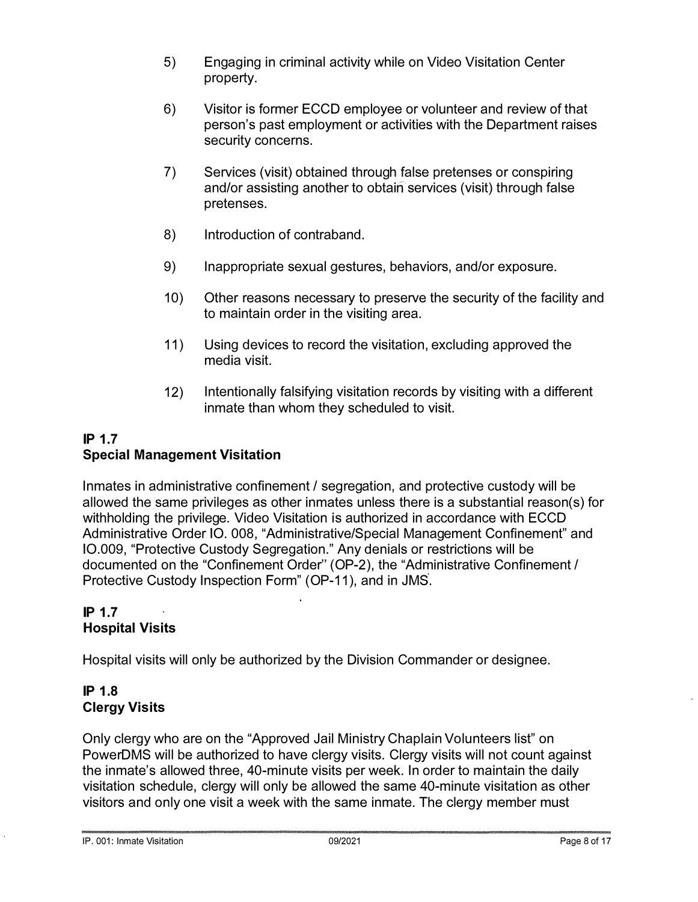- 5) Engaging in criminal activity while on Video Visitation Center property.
- 6) Visitor is former ECCD employee or volunteer and review of that person's past employment or activities with the Department raises security concerns.
- 7) Services (visit) obtained through false pretenses or conspiring and/or assisting another to obtain services (visit) through false pretenses.
- 8) Introduction of contraband.
- 9) Inappropriate sexual gestures, behaviors, and/or exposure.
- 10) Other reasons necessary to preserve the security of the facility and to maintain order in the visiting area.
- 11) Using devices to record the visitation, excluding approved the media visit.
- 12) Intentionally falsifying visitation records by visiting with a different inmate than whom they scheduled to visit.

## **IP 1.7 Special Management Visitation**

Inmates in administrative confinement / segregation, and protective custody will be allowed the same privileges as other inmates unless there is a substantial reason(s) for withholding the privilege. Video Visitation is authorized in accordance with ECCD Administrative Order 10. 008, "Administrative/Special Management Confinement" and 10.009, "Protective Custody Segregation." Any denials or restrictions will be documented on the "Confinement Order'' (OP-2), the "Administrative Confinement / Protective Custody Inspection Form" (OP-11 ), and in JMS.

## **IP 1.7 Hospital Visits**

Hospital visits will only be authorized by the Division Commander or designee.

# **IP 1.8 Clergy Visits**

Only clergy who are on the "Approved Jail Ministry Chaplain Volunteers list" on PowerDMS will be authorized to have clergy visits. Clergy visits will not count against the inmate's allowed three, 40-minute visits per week. In order to maintain the daily visitation schedule, clergy will only be allowed the same 40-minute visitation as other visitors and only one visit a week with the same inmate. The clergy member must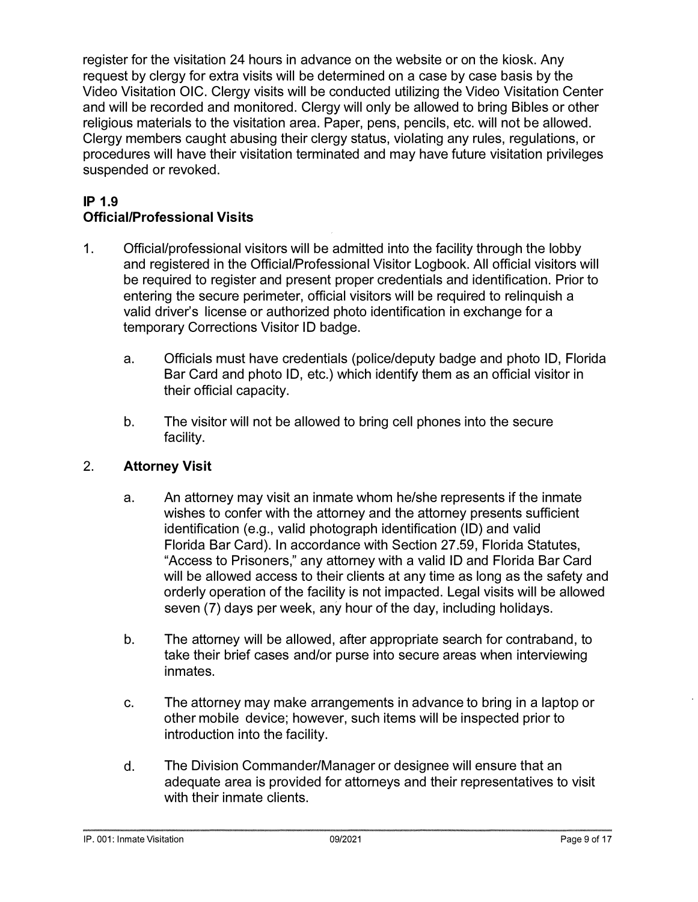**register for the visitation 24 hours in advance on the website or on the kiosk. Any request by clergy for extra visits will be determined on a case by case basis by the Video Visitation OIC. Clergy visits will be conducted utilizing the Video Visitation Center and will be recorded and monitored. Clergy will only be allowed to bring Bibles or other religious materials to the visitation area. Paper, pens, pencils, etc. will not be allowed. Clergy members caught abusing their clergy status, violating any rules, regulations, or procedures will have their visitation terminated and may have future visitation privileges suspended or revoked.** 

# **IP 1.9 Official/Professional Visits**

- **1. Official/professional visitors will be admitted into the facility through the lobby and registered in the Official/Professional Visitor Logbook. All official visitors will be required to register and present proper credentials and identification. Prior to entering the secure perimeter, official visitors will be required to relinquish a valid driver's license or authorized photo identification in exchange for a temporary Corrections Visitor ID badge.** 
	- **a. Officials must have credentials (police/deputy badge and photo ID, Florida Bar Card and photo ID, etc.) which identify them as an official visitor in their official capacity.**
	- **b. The visitor will not be allowed to bring cell phones into the secure facility.**

# **2. Attorney Visit**

- **a. An attorney may visit an inmate whom he/she represents if the inmate wishes to confer with the attorney and the attorney presents sufficient identification (e.g., valid photograph identification (ID) and valid Florida Bar Card). In accordance with Section 27.59, Florida Statutes, "Access to Prisoners," any attorney with a valid ID and Florida Bar Card will be allowed access to their clients at any time as long as the safety and orderly operation of the facility is not impacted. Legal visits will be allowed seven (7) days per week, any hour of the day, including holidays.**
- **b. The attorney will be allowed, after appropriate search for contraband, to take their brief cases and/or purse into secure areas when interviewing inmates.**
- **c. The attorney may make arrangements in advance to bring in a laptop or other mobile device; however, such items will be inspected prior to introduction into the facility.**
- **d. The Division Commander/Manager or designee will ensure that an adequate area is provided for attorneys and their representatives to visit with their inmate clients.**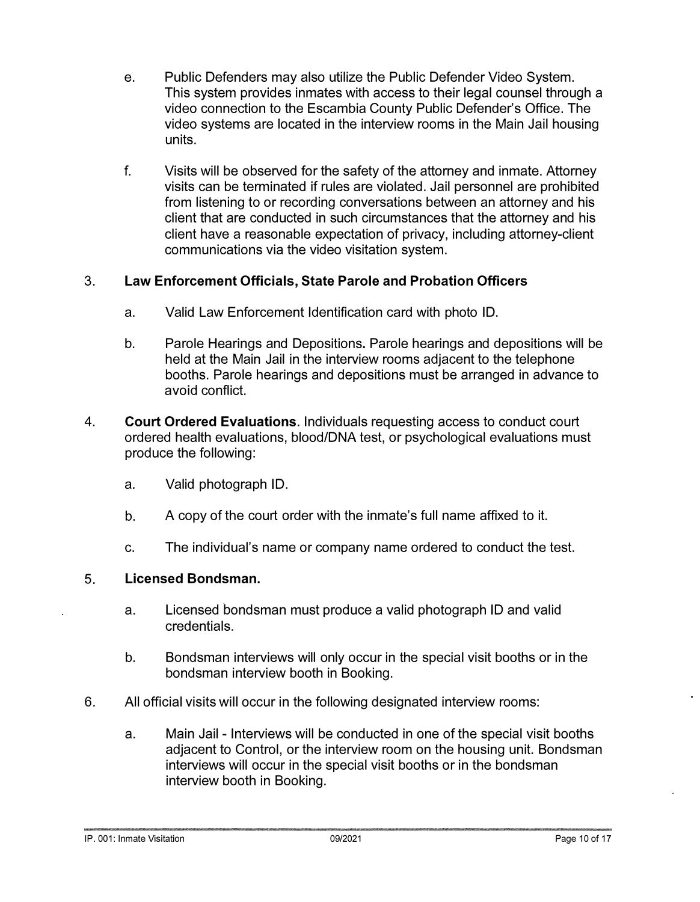- **e. Public Defenders may also utilize the Public Defender Video System. This system provides inmates with access to their legal counsel through a video connection to the Escambia County Public Defender's Office. The video systems are located in the interview rooms in the Main Jail housing units.**
- **f. Visits will be observed for the safety of the attorney and inmate. Attorney visits can be terminated if rules are violated. Jail personnel are prohibited from listening to or recording conversations between an attorney and his client that are conducted in such circumstances that the attorney and his client have a reasonable expectation of privacy, including attorney-client communications via the video visitation system.**

# **3. Law Enforcement Officials, State Parole and Probation Officers**

- **a. Valid Law Enforcement Identification card with photo ID.**
- **b. Parole Hearings and Depositions. Parole hearings and depositions will be held at the Main Jail in the interview rooms adjacent to the telephone booths. Parole hearings and depositions must be arranged in advance to avoid conflict.**
- **4. Court Ordered Evaluations. Individuals requesting access to conduct court ordered health evaluations, blood/DNA test, or psychological evaluations must produce the following:** 
	- **a. Valid photograph ID.**
	- **b. A copy of the court order with the inmate's full name affixed to it.**
	- **c. The individual's name or company name ordered to conduct the test.**

#### **5. Licensed Bondsman.**

- **a. Licensed bondsman must produce a valid photograph ID and valid credentials.**
- **b. Bondsman interviews will only occur in the special visit booths or in the bondsman interview booth in Booking.**
- **6. All official visits will occur in the following designated interview rooms:** 
	- **a. Main Jail - Interviews will be conducted in one of the special visit booths adjacent to Control, or the interview room on the housing unit. Bondsman interviews will occur in the special visit booths or in the bondsman interview booth in Booking.**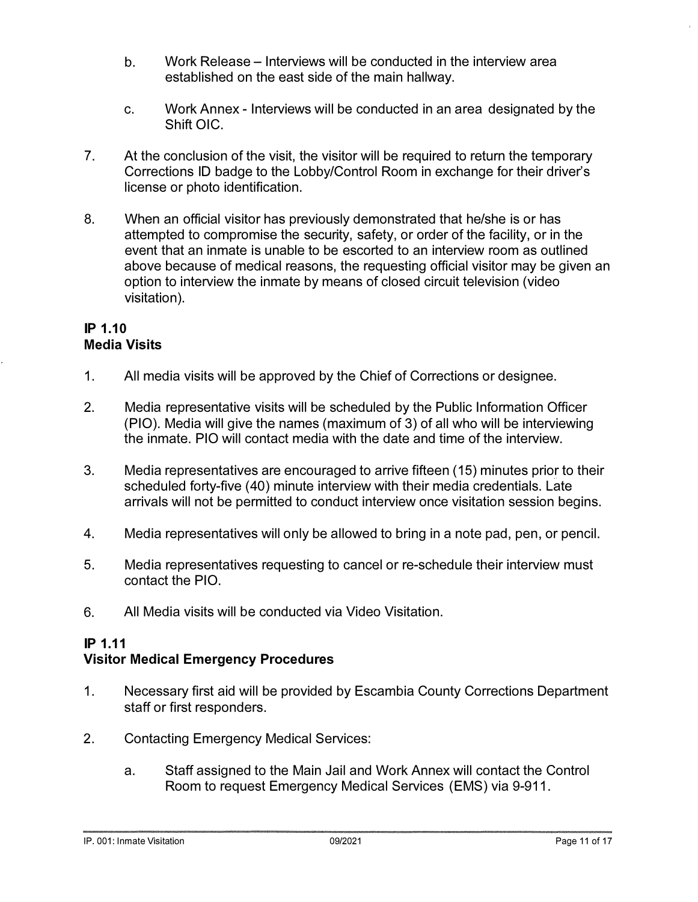- b. Work Release Interviews will be conducted in the interview area established on the east side of the main hallway.
- c. Work Annex Interviews will be conducted in an area designated by the Shift OIC.
- 7. At the conclusion of the visit, the visitor will be required to return the temporary Corrections ID badge to the Lobby/Control Room in exchange for their driver's license or photo identification.
- 8. When an official visitor has previously demonstrated that he/she is or has attempted to compromise the security, safety, or order of the facility, or in the event that an inmate is unable to be escorted to an interview room as outlined above because of medical reasons, the requesting official visitor may be given an option to interview the inmate by means of closed circuit television (video visitation).

#### **IP 1.10 Media Visits**

- 1. All media visits will be approved by the Chief of Corrections or designee.
- 2. Media representative visits will be scheduled by the Public Information Officer (PIO). Media will give the names (maximum of 3) of all who will be interviewing the inmate. PIO will contact media with the date and time of the interview.
- 3. Media representatives are encouraged to arrive fifteen (15) minutes prior to their scheduled forty-five (40) minute interview with their media credentials. Late arrivals will not be permitted to conduct interview once visitation session begins.
- 4. Media representatives will only be allowed to bring in a note pad, pen, or pencil.
- 5. Media representatives requesting to cancel or re-schedule their interview must contact the PIO.
- 6. All Media visits will be conducted via Video Visitation.

# **IP 1.11**

# **Visitor Medical Emergency Procedures**

- 1. Necessary first aid will be provided by Escambia County Corrections Department staff or first responders.
- 2. Contacting Emergency Medical Services:
	- a. Staff assigned to the Main Jail and Work Annex will contact the Control Room to request Emergency Medical Services (EMS) via 9-911.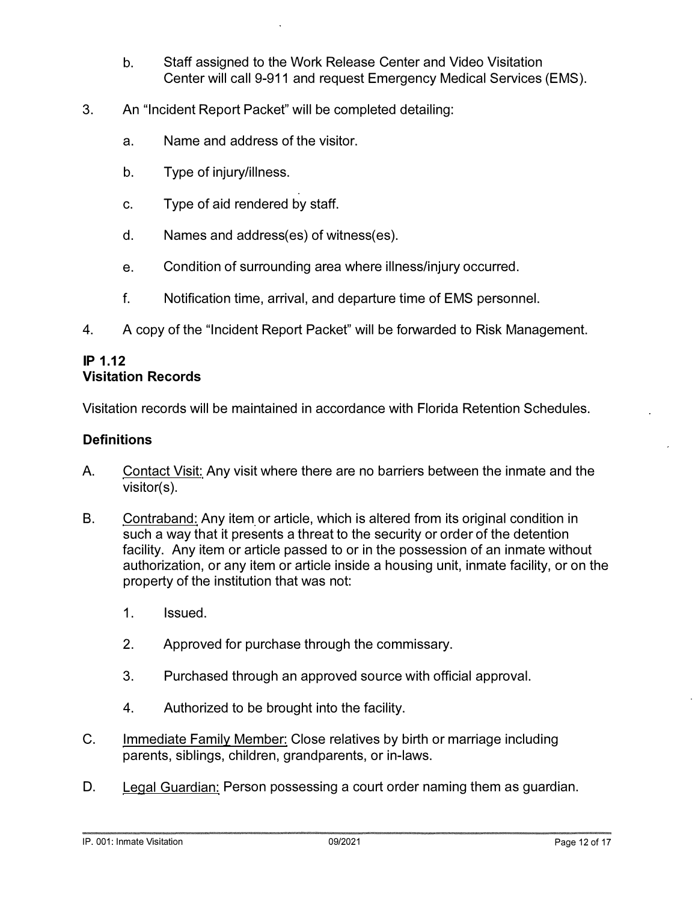- b. Staff assigned to the Work Release Center and Video Visitation Center will call 9-911 and request Emergency Medical Services (EMS).
- 3. An "Incident Report Packet" will be completed detailing:
	- a. Name and address of the visitor.
	- b. Type of injury/illness.
	- c. Type of aid rendered by staff.
	- d. Names and address(es) of witness(es).
	- e. Condition of surrounding area where illness/injury occurred.
	- f. Notification time, arrival, and departure time of EMS personnel.
- 4. A copy of the "Incident Report Packet" will be forwarded to Risk Management.

#### **IP 1.12 Visitation Records**

Visitation records will be maintained in accordance with Florida Retention Schedules.

#### **Definitions**

- A. Contact Visit: Any visit where there are no barriers between the inmate and the visitor(s).
- B. Contraband: Any item or article, which is altered from its original condition in such a way that it presents a threat to the security or order of the detention facility. Any item or article passed to or in the possession of an inmate without authorization, or any item or article inside a housing unit, inmate facility, or on the property of the institution that was not:
	- 1. Issued.
	- 2. Approved for purchase through the commissary.
	- 3. Purchased through an approved source with official approval.
	- 4. Authorized to be brought into the facility.
- **C.**  Immediate Family Member: Close relatives by birth or marriage including parents, siblings, children, grandparents, or in-laws.
- D. Legal Guardian: Person possessing a court order naming them as guardian.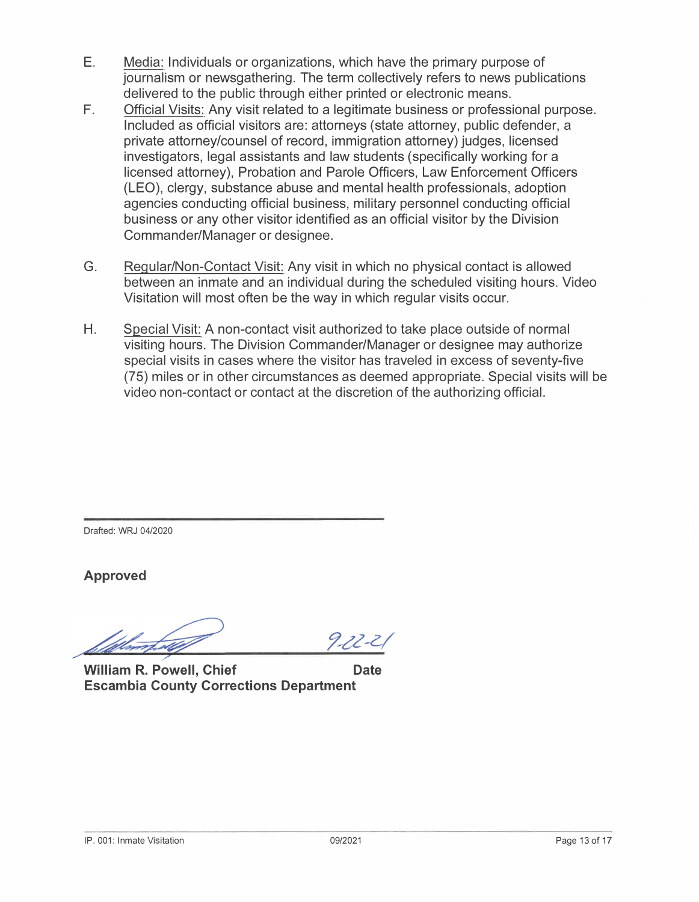- E. Media: Individuals or organizations, which have the primary purpose of journalism or newsgathering. The term collectively refers to news publications delivered to the public through either printed or electronic means.
- F. Official Visits: Any visit related to a legitimate business or professional purpose. Included as official visitors are: attorneys (state attorney, public defender, a private attorney/counsel of record, immigration attorney) judges, licensed investigators, legal assistants and law students ( specifically working for a licensed attorney), Probation and Parole Officers, Law Enforcement Officers (LEO), clergy, substance abuse and mental health professionals, adoption agencies conducting official business, military personnel conducting official business or any other visitor identified as an official visitor by the Division Commander/Manager or designee.
- G. Regular/Non-Contact Visit: Any visit in which no physical contact is allowed between an inmate and an individual during the scheduled visiting hours. Video Visitation will most often be the way in which regular visits occur.
- H. Special Visit: A non-contact visit authorized to take place outside of normal visiting hours. The Division Commander/Manager or designee may authorize special visits in cases where the visitor has traveled in excess of seventy-five (75) miles or in other circumstances as deemed appropriate. Special visits will be video non-contact or contact at the discretion of the authorizing official.

Drafted: WRJ 04/2020

**Approved** 

 $9 - 22 - 2$ 

**William R. Powell, Chief Chief Chief Chief Chief Chief Chief Chief Chief Chief Chief Chief Chief Chief Chief Chief Chief Chief Chief Chief Chief Chief Chief Chief Chief Chief Chief Chief Chief Chief Chief Chief Chief Chie Escambia County Corrections Department**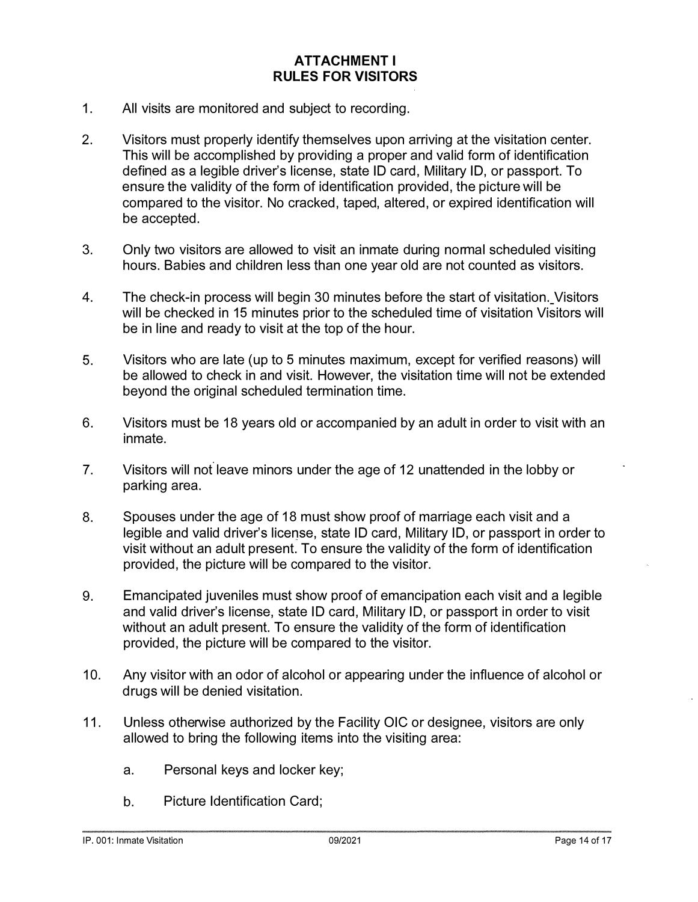#### **ATTACHMENT I RULES FOR VISITORS**

- **1. All visits are monitored and subject to recording.**
- **2. Visitors must properly identify themselves upon arriving at the visitation center. This will be accomplished by providing a proper and valid form of identification**  defined as a legible driver's license, state ID card, Military ID, or passport. To **ensure the validity of the form of identification provided, the picture will be compared to the visitor. No cracked, taped, altered, or expired identification will be accepted.**
- **3. Only two visitors are allowed to visit an inmate during normal scheduled visiting hours. Babies and children less than one year old are not counted as visitors.**
- **4. The check-in process will begin 30 minutes before the start of visitation.\_ Visitors will be checked in 15 minutes prior to the scheduled time of visitation Visitors will be in line and ready to visit at the top of the hour.**
- **5. Visitors who are late (up to 5 minutes maximum, except for verified reasons) will be allowed to check in and visit. However, the visitation time will not be extended beyond the original scheduled termination time.**
- **6. Visitors must be 18 years old or accompanied by an adult in order to visit with an inmate.**
- **7. Visitors will not leave minors under the age of 12 unattended in the lobby or parking area.**
- **8. Spouses under the age of 18 must show proof of marriage each visit and a legible and valid driver's license, state ID card, Military ID, or passport in order to visit without an adult present. To ensure the validity of the form of identification provided, the picture will be compared to the visitor.**
- **9. Emancipated juveniles must show proof of emancipation each visit and a legible and valid driver's license, state ID card, Military ID, or passport in order to visit without an adult present. To ensure the validity of the form of identification provided, the picture will be compared to the visitor.**
- **10. Any visitor with an odor of alcohol or appearing under the influence of alcohol or drugs will be denied visitation.**
- **11. Unless otherwise authorized by the Facility OIC or designee, visitors are only allowed to bring the following items into the visiting area:** 
	- **a. Personal keys and locker key;**
	- **b. Picture Identification Card;**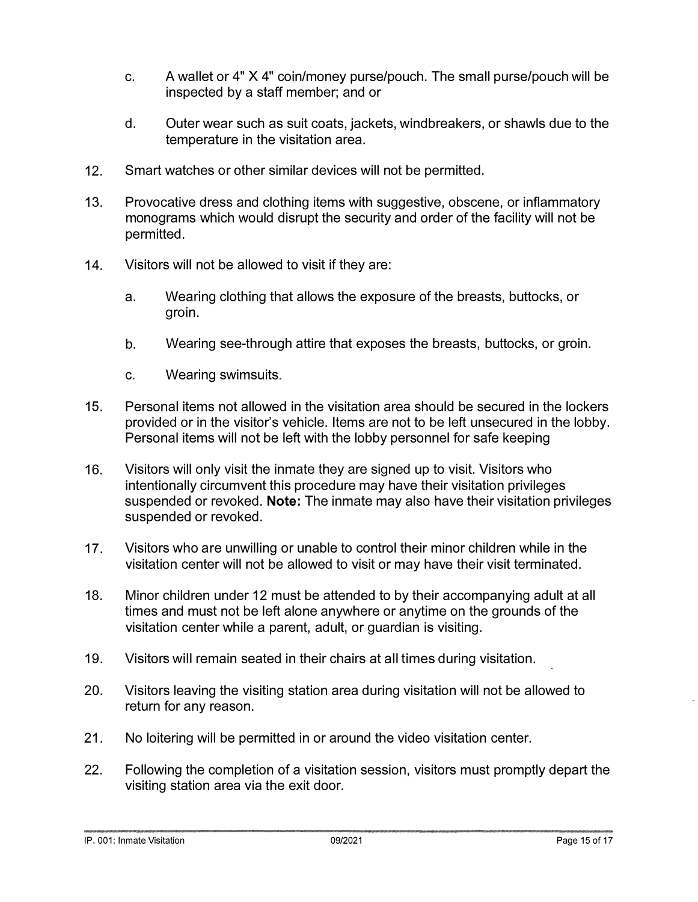- **c. A wallet or 4" X 4" coin/money purse/pouch. The small purse/pouch will be inspected by a staff member; and or**
- **d. Outer wear such as suit coats, jackets, windbreakers, or shawls due to the temperature in the visitation area.**
- **12. Smart watches or other similar devices will not be permitted.**
- **13. Provocative dress and clothing items with suggestive, obscene, or inflammatory monograms which would disrupt the security and order of the facility will not be permitted.**
- **14. Visitors will not be allowed to visit if they are:** 
	- **a. Wearing clothing that allows the exposure of the breasts, buttocks, or groin.**
	- **b. Wearing see-through attire that exposes the breasts, buttocks, or groin.**
	- **c. Wearing swimsuits.**
- **15. Personal items not allowed in the visitation area should be secured in the lockers provided or in the visitor's vehicle. Items are not to be left unsecured in the lobby. Personal items will not be left with the lobby personnel for safe keeping**
- **16. Visitors will only visit the inmate they are signed up to visit. Visitors who intentionally circumvent this procedure may have their visitation privileges suspended or revoked. Note: The inmate may also have their visitation privileges suspended or revoked.**
- **17. Visitors who are unwilling or unable to control their minor children while in the visitation center will not be allowed to visit or may have their visit terminated.**
- **18. Minor children under 12 must be attended to by their accompanying adult at all times and must not be left alone anywhere or anytime on the grounds of the visitation center while a parent, adult, or guardian is visiting.**
- **19. Visitors will remain seated in their chairs at all times during visitation.**
- **20. Visitors leaving the visiting station area during visitation will not be allowed to return for any reason.**
- **21. No loitering will be permitted in or around the video visitation center.**
- **22. Following the completion of a visitation session, visitors must promptly depart the visiting station area via the exit door.**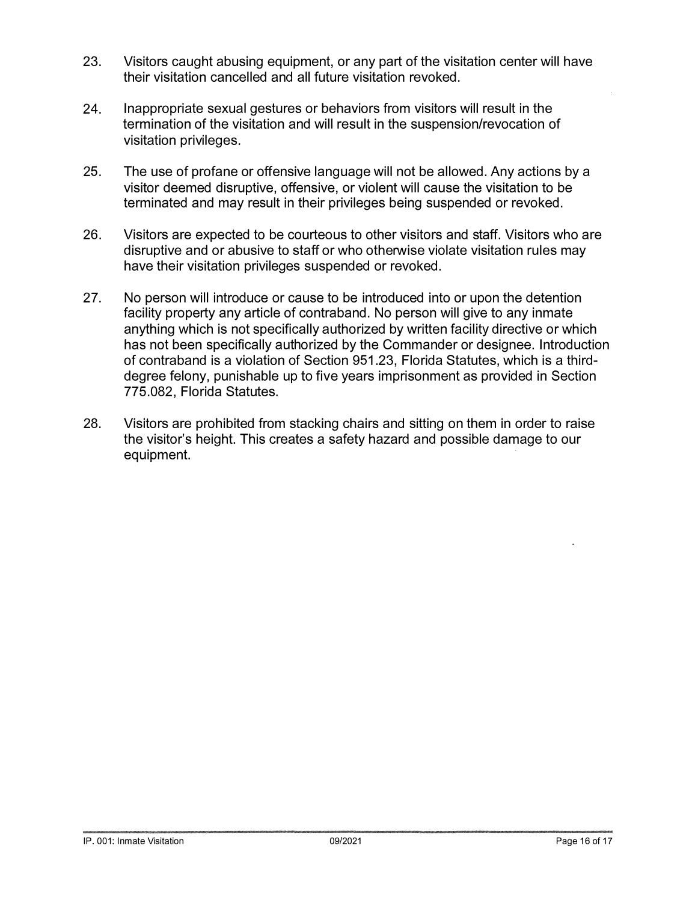- **23. Visitors caught abusing equipment, or any part of the visitation center will have their visitation cancelled and all future visitation revoked.**
- **24. Inappropriate sexual gestures or behaviors from visitors will result in the termination of the visitation and will result in the suspension/revocation of visitation privileges.**
- **25. The use of profane or offensive language will not be allowed. Any actions by a visitor deemed disruptive, offensive, or violent will cause the visitation to be terminated and may result in their privileges being suspended or revoked.**
- **26. Visitors are expected to be courteous to other visitors and staff. Visitors who are disruptive and or abusive to staff or who otherwise violate visitation rules may have their visitation privileges suspended or revoked.**
- **27. No person will introduce or cause to be introduced into or upon the detention facility property any article of contraband. No person will give to any inmate anything which is not specifically authorized by written facility directive or which has not been specifically authorized by the Commander or designee. Introduction of contraband is a violation of Section 951.23, Florida Statutes, which is a thirddegree felony, punishable up to five years imprisonment as provided in Section 775.082, Florida Statutes.**
- **28. Visitors are prohibited from stacking chairs and sitting on them in order to raise the visitor's height. This creates a safety hazard and possible damage to our equipment.**